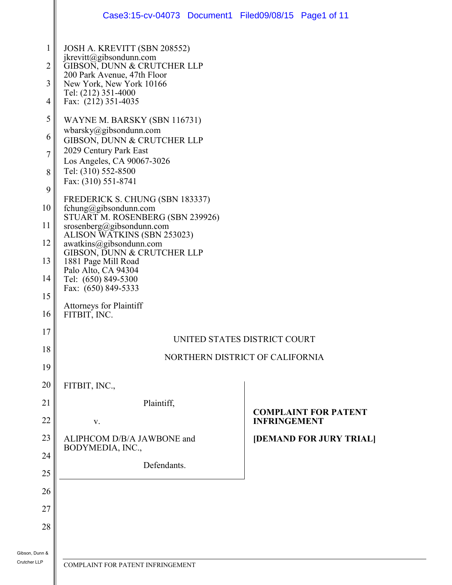| $\mathbf{1}$<br>JOSH A. KREVITT (SBN 208552)<br>jkrevitt@gibsondunn.com<br>$\overline{2}$<br>GIBSON, DUNN & CRUTCHER LLP<br>200 Park Avenue, 47th Floor<br>3<br>New York, New York 10166<br>Tel: (212) 351-4000<br>Fax: (212) 351-4035<br>4<br>5<br>WAYNE M. BARSKY (SBN 116731)<br>wbarsky@gibsondunn.com<br>6<br>GIBSON, DUNN & CRUTCHER LLP<br>2029 Century Park East<br>$\overline{7}$<br>Los Angeles, CA 90067-3026<br>Tel: (310) 552-8500<br>8<br>Fax: (310) 551-8741<br>9<br>FREDERICK S. CHUNG (SBN 183337)<br>10<br>fchung@gibsondunn.com<br>STUART M. ROSENBERG (SBN 239926)<br>11<br>srosenberg@gibsondunn.com<br>ALISON WATKINS (SBN 253023)<br>12<br>awatkins@gibsondunn.com<br>GIBSON, DUNN & CRUTCHER LLP<br>13<br>1881 Page Mill Road<br>Palo Alto, CA 94304<br>14<br>Tel: (650) 849-5300<br>Fax: (650) 849-5333<br>15<br>Attorneys for Plaintiff<br>16<br>FITBIT, INC.<br>17<br>UNITED STATES DISTRICT COURT<br>18<br>NORTHERN DISTRICT OF CALIFORNIA<br>19<br>20<br>FITBIT, INC.,<br>21<br>Plaintiff,<br><b>COMPLAINT FOR PATENT</b><br>22<br><b>INFRINGEMENT</b><br>V.<br>23<br>ALIPHCOM D/B/A JAWBONE and<br>[DEMAND FOR JURY TRIAL]<br>BODYMEDIA, INC.,<br>24<br>Defendants.<br>25<br>26<br>27<br>28<br>COMPLAINT FOR PATENT INFRINGEMENT |  | Case3:15-cv-04073 Document1 Filed09/08/15 Page1 of 11 |
|----------------------------------------------------------------------------------------------------------------------------------------------------------------------------------------------------------------------------------------------------------------------------------------------------------------------------------------------------------------------------------------------------------------------------------------------------------------------------------------------------------------------------------------------------------------------------------------------------------------------------------------------------------------------------------------------------------------------------------------------------------------------------------------------------------------------------------------------------------------------------------------------------------------------------------------------------------------------------------------------------------------------------------------------------------------------------------------------------------------------------------------------------------------------------------------------------------------------------------------------------------------|--|-------------------------------------------------------|
|                                                                                                                                                                                                                                                                                                                                                                                                                                                                                                                                                                                                                                                                                                                                                                                                                                                                                                                                                                                                                                                                                                                                                                                                                                                                |  |                                                       |
|                                                                                                                                                                                                                                                                                                                                                                                                                                                                                                                                                                                                                                                                                                                                                                                                                                                                                                                                                                                                                                                                                                                                                                                                                                                                |  |                                                       |
|                                                                                                                                                                                                                                                                                                                                                                                                                                                                                                                                                                                                                                                                                                                                                                                                                                                                                                                                                                                                                                                                                                                                                                                                                                                                |  |                                                       |
|                                                                                                                                                                                                                                                                                                                                                                                                                                                                                                                                                                                                                                                                                                                                                                                                                                                                                                                                                                                                                                                                                                                                                                                                                                                                |  |                                                       |
|                                                                                                                                                                                                                                                                                                                                                                                                                                                                                                                                                                                                                                                                                                                                                                                                                                                                                                                                                                                                                                                                                                                                                                                                                                                                |  |                                                       |
|                                                                                                                                                                                                                                                                                                                                                                                                                                                                                                                                                                                                                                                                                                                                                                                                                                                                                                                                                                                                                                                                                                                                                                                                                                                                |  |                                                       |
|                                                                                                                                                                                                                                                                                                                                                                                                                                                                                                                                                                                                                                                                                                                                                                                                                                                                                                                                                                                                                                                                                                                                                                                                                                                                |  |                                                       |
|                                                                                                                                                                                                                                                                                                                                                                                                                                                                                                                                                                                                                                                                                                                                                                                                                                                                                                                                                                                                                                                                                                                                                                                                                                                                |  |                                                       |
|                                                                                                                                                                                                                                                                                                                                                                                                                                                                                                                                                                                                                                                                                                                                                                                                                                                                                                                                                                                                                                                                                                                                                                                                                                                                |  |                                                       |
|                                                                                                                                                                                                                                                                                                                                                                                                                                                                                                                                                                                                                                                                                                                                                                                                                                                                                                                                                                                                                                                                                                                                                                                                                                                                |  |                                                       |
|                                                                                                                                                                                                                                                                                                                                                                                                                                                                                                                                                                                                                                                                                                                                                                                                                                                                                                                                                                                                                                                                                                                                                                                                                                                                |  |                                                       |
|                                                                                                                                                                                                                                                                                                                                                                                                                                                                                                                                                                                                                                                                                                                                                                                                                                                                                                                                                                                                                                                                                                                                                                                                                                                                |  |                                                       |
|                                                                                                                                                                                                                                                                                                                                                                                                                                                                                                                                                                                                                                                                                                                                                                                                                                                                                                                                                                                                                                                                                                                                                                                                                                                                |  |                                                       |
|                                                                                                                                                                                                                                                                                                                                                                                                                                                                                                                                                                                                                                                                                                                                                                                                                                                                                                                                                                                                                                                                                                                                                                                                                                                                |  |                                                       |
|                                                                                                                                                                                                                                                                                                                                                                                                                                                                                                                                                                                                                                                                                                                                                                                                                                                                                                                                                                                                                                                                                                                                                                                                                                                                |  |                                                       |
|                                                                                                                                                                                                                                                                                                                                                                                                                                                                                                                                                                                                                                                                                                                                                                                                                                                                                                                                                                                                                                                                                                                                                                                                                                                                |  |                                                       |
|                                                                                                                                                                                                                                                                                                                                                                                                                                                                                                                                                                                                                                                                                                                                                                                                                                                                                                                                                                                                                                                                                                                                                                                                                                                                |  |                                                       |
|                                                                                                                                                                                                                                                                                                                                                                                                                                                                                                                                                                                                                                                                                                                                                                                                                                                                                                                                                                                                                                                                                                                                                                                                                                                                |  |                                                       |
|                                                                                                                                                                                                                                                                                                                                                                                                                                                                                                                                                                                                                                                                                                                                                                                                                                                                                                                                                                                                                                                                                                                                                                                                                                                                |  |                                                       |
|                                                                                                                                                                                                                                                                                                                                                                                                                                                                                                                                                                                                                                                                                                                                                                                                                                                                                                                                                                                                                                                                                                                                                                                                                                                                |  |                                                       |
|                                                                                                                                                                                                                                                                                                                                                                                                                                                                                                                                                                                                                                                                                                                                                                                                                                                                                                                                                                                                                                                                                                                                                                                                                                                                |  |                                                       |
|                                                                                                                                                                                                                                                                                                                                                                                                                                                                                                                                                                                                                                                                                                                                                                                                                                                                                                                                                                                                                                                                                                                                                                                                                                                                |  |                                                       |
|                                                                                                                                                                                                                                                                                                                                                                                                                                                                                                                                                                                                                                                                                                                                                                                                                                                                                                                                                                                                                                                                                                                                                                                                                                                                |  |                                                       |
|                                                                                                                                                                                                                                                                                                                                                                                                                                                                                                                                                                                                                                                                                                                                                                                                                                                                                                                                                                                                                                                                                                                                                                                                                                                                |  |                                                       |
| unn &<br>LP.                                                                                                                                                                                                                                                                                                                                                                                                                                                                                                                                                                                                                                                                                                                                                                                                                                                                                                                                                                                                                                                                                                                                                                                                                                                   |  |                                                       |
|                                                                                                                                                                                                                                                                                                                                                                                                                                                                                                                                                                                                                                                                                                                                                                                                                                                                                                                                                                                                                                                                                                                                                                                                                                                                |  |                                                       |
|                                                                                                                                                                                                                                                                                                                                                                                                                                                                                                                                                                                                                                                                                                                                                                                                                                                                                                                                                                                                                                                                                                                                                                                                                                                                |  |                                                       |
|                                                                                                                                                                                                                                                                                                                                                                                                                                                                                                                                                                                                                                                                                                                                                                                                                                                                                                                                                                                                                                                                                                                                                                                                                                                                |  |                                                       |
|                                                                                                                                                                                                                                                                                                                                                                                                                                                                                                                                                                                                                                                                                                                                                                                                                                                                                                                                                                                                                                                                                                                                                                                                                                                                |  |                                                       |
|                                                                                                                                                                                                                                                                                                                                                                                                                                                                                                                                                                                                                                                                                                                                                                                                                                                                                                                                                                                                                                                                                                                                                                                                                                                                |  |                                                       |
|                                                                                                                                                                                                                                                                                                                                                                                                                                                                                                                                                                                                                                                                                                                                                                                                                                                                                                                                                                                                                                                                                                                                                                                                                                                                |  |                                                       |

Ш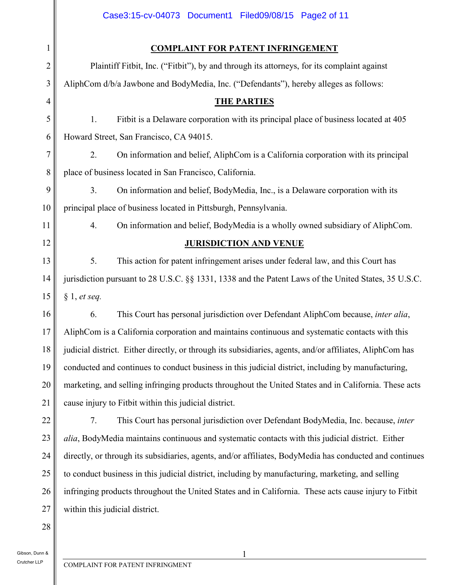|                | Case3:15-cv-04073 Document1 Filed09/08/15 Page2 of 11                                                    |  |
|----------------|----------------------------------------------------------------------------------------------------------|--|
| $\mathbf{1}$   | <b>COMPLAINT FOR PATENT INFRINGEMENT</b>                                                                 |  |
| $\overline{c}$ | Plaintiff Fitbit, Inc. ("Fitbit"), by and through its attorneys, for its complaint against               |  |
| 3              | AliphCom d/b/a Jawbone and BodyMedia, Inc. ("Defendants"), hereby alleges as follows:                    |  |
| 4              | <b>THE PARTIES</b>                                                                                       |  |
| 5              | 1.<br>Fitbit is a Delaware corporation with its principal place of business located at 405               |  |
| 6              | Howard Street, San Francisco, CA 94015.                                                                  |  |
| 7              | 2.<br>On information and belief, AliphCom is a California corporation with its principal                 |  |
| 8              | place of business located in San Francisco, California.                                                  |  |
| 9              | 3 <sub>1</sub><br>On information and belief, BodyMedia, Inc., is a Delaware corporation with its         |  |
| 10             | principal place of business located in Pittsburgh, Pennsylvania.                                         |  |
| 11             | 4.<br>On information and belief, BodyMedia is a wholly owned subsidiary of AliphCom.                     |  |
| 12             | <b>JURISDICTION AND VENUE</b>                                                                            |  |
| 13             | 5.<br>This action for patent infringement arises under federal law, and this Court has                   |  |
| 14             | jurisdiction pursuant to 28 U.S.C. §§ 1331, 1338 and the Patent Laws of the United States, 35 U.S.C.     |  |
| 15             | § 1, et seq.                                                                                             |  |
| 16             | This Court has personal jurisdiction over Defendant AliphCom because, <i>inter alia</i> ,<br>6.          |  |
| 17             | AliphCom is a California corporation and maintains continuous and systematic contacts with this          |  |
| 18             | judicial district. Either directly, or through its subsidiaries, agents, and/or affiliates, AliphCom has |  |
| 19             | conducted and continues to conduct business in this judicial district, including by manufacturing,       |  |
| 20             | marketing, and selling infringing products throughout the United States and in California. These acts    |  |
| 21             | cause injury to Fitbit within this judicial district.                                                    |  |
| 22             | This Court has personal jurisdiction over Defendant BodyMedia, Inc. because, inter<br>7.                 |  |
| 23             | alia, BodyMedia maintains continuous and systematic contacts with this judicial district. Either         |  |
| 24             | directly, or through its subsidiaries, agents, and/or affiliates, BodyMedia has conducted and continues  |  |
| 25             | to conduct business in this judicial district, including by manufacturing, marketing, and selling        |  |
| 26             | infringing products throughout the United States and in California. These acts cause injury to Fitbit    |  |
| 27             | within this judicial district.                                                                           |  |
| 28             |                                                                                                          |  |
| unn &          |                                                                                                          |  |

Gibson, Dunn & Crutcher LLP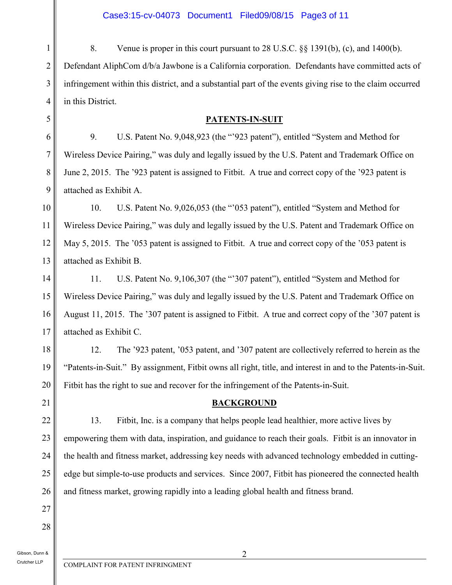1 2 3 4 8. Venue is proper in this court pursuant to 28 U.S.C. §§ 1391(b), (c), and 1400(b). Defendant AliphCom d/b/a Jawbone is a California corporation. Defendants have committed acts of infringement within this district, and a substantial part of the events giving rise to the claim occurred in this District.

## **PATENTS-IN-SUIT**

9. U.S. Patent No. 9,048,923 (the "'923 patent"), entitled "System and Method for Wireless Device Pairing," was duly and legally issued by the U.S. Patent and Trademark Office on June 2, 2015. The '923 patent is assigned to Fitbit. A true and correct copy of the '923 patent is attached as Exhibit A.

10 11 12 13 10. U.S. Patent No. 9,026,053 (the "'053 patent"), entitled "System and Method for Wireless Device Pairing," was duly and legally issued by the U.S. Patent and Trademark Office on May 5, 2015. The '053 patent is assigned to Fitbit. A true and correct copy of the '053 patent is attached as Exhibit B.

14 15 16 17 11. U.S. Patent No. 9,106,307 (the "'307 patent"), entitled "System and Method for Wireless Device Pairing," was duly and legally issued by the U.S. Patent and Trademark Office on August 11, 2015. The '307 patent is assigned to Fitbit. A true and correct copy of the '307 patent is attached as Exhibit C.

18 19 20 12. The '923 patent, '053 patent, and '307 patent are collectively referred to herein as the "Patents-in-Suit." By assignment, Fitbit owns all right, title, and interest in and to the Patents-in-Suit. Fitbit has the right to sue and recover for the infringement of the Patents-in-Suit.

# **BACKGROUND**

13. Fitbit, Inc. is a company that helps people lead healthier, more active lives by empowering them with data, inspiration, and guidance to reach their goals. Fitbit is an innovator in the health and fitness market, addressing key needs with advanced technology embedded in cuttingedge but simple-to-use products and services. Since 2007, Fitbit has pioneered the connected health and fitness market, growing rapidly into a leading global health and fitness brand.

28

21

22

23

24

25

26

27

5

6

7

8

9

Gibson, Dunn & Crutcher LLP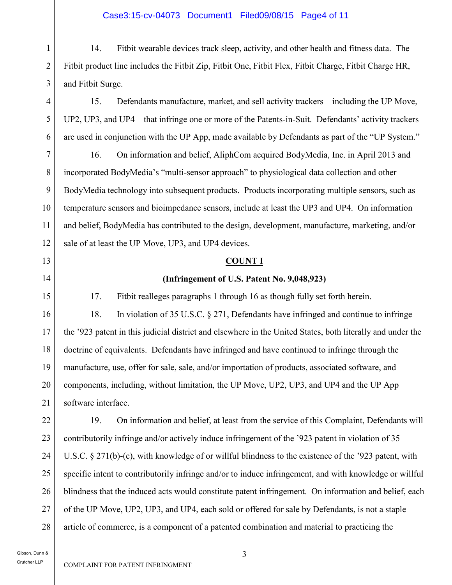#### Case3:15-cv-04073 Document1 Filed09/08/15 Page4 of 11

14. Fitbit wearable devices track sleep, activity, and other health and fitness data. The Fitbit product line includes the Fitbit Zip, Fitbit One, Fitbit Flex, Fitbit Charge, Fitbit Charge HR, and Fitbit Surge.

15. Defendants manufacture, market, and sell activity trackers—including the UP Move, UP2, UP3, and UP4—that infringe one or more of the Patents-in-Suit. Defendants' activity trackers are used in conjunction with the UP App, made available by Defendants as part of the "UP System."

8 9 12 16. On information and belief, AliphCom acquired BodyMedia, Inc. in April 2013 and incorporated BodyMedia's "multi-sensor approach" to physiological data collection and other BodyMedia technology into subsequent products. Products incorporating multiple sensors, such as temperature sensors and bioimpedance sensors, include at least the UP3 and UP4. On information and belief, BodyMedia has contributed to the design, development, manufacture, marketing, and/or sale of at least the UP Move, UP3, and UP4 devices.

#### **COUNT I**

#### **(Infringement of U.S. Patent No. 9,048,923)**

17. Fitbit realleges paragraphs 1 through 16 as though fully set forth herein.

18. In violation of 35 U.S.C. § 271, Defendants have infringed and continue to infringe the '923 patent in this judicial district and elsewhere in the United States, both literally and under the doctrine of equivalents. Defendants have infringed and have continued to infringe through the manufacture, use, offer for sale, sale, and/or importation of products, associated software, and components, including, without limitation, the UP Move, UP2, UP3, and UP4 and the UP App software interface.

19. On information and belief, at least from the service of this Complaint, Defendants will contributorily infringe and/or actively induce infringement of the '923 patent in violation of 35 U.S.C. § 271(b)-(c), with knowledge of or willful blindness to the existence of the '923 patent, with specific intent to contributorily infringe and/or to induce infringement, and with knowledge or willful blindness that the induced acts would constitute patent infringement. On information and belief, each of the UP Move, UP2, UP3, and UP4, each sold or offered for sale by Defendants, is not a staple article of commerce, is a component of a patented combination and material to practicing the

Gibson, Dunn & Crutcher LLP

1

2

3

4

5

6

7

10

11

13

14

15

16

17

18

19

20

21

22

23

24

25

26

27

28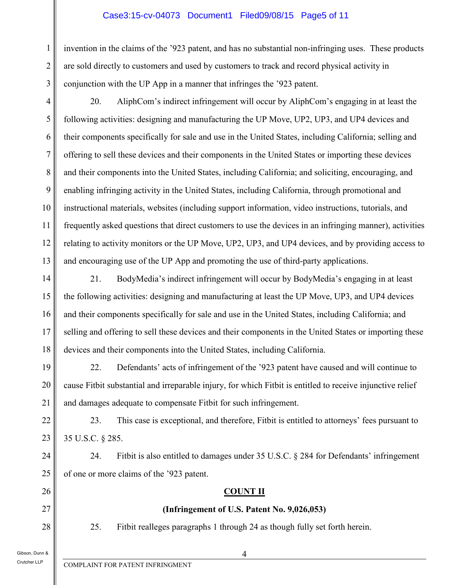## Case3:15-cv-04073 Document1 Filed09/08/15 Page5 of 11

invention in the claims of the '923 patent, and has no substantial non-infringing uses. These products are sold directly to customers and used by customers to track and record physical activity in conjunction with the UP App in a manner that infringes the '923 patent.

20. AliphCom's indirect infringement will occur by AliphCom's engaging in at least the following activities: designing and manufacturing the UP Move, UP2, UP3, and UP4 devices and their components specifically for sale and use in the United States, including California; selling and offering to sell these devices and their components in the United States or importing these devices and their components into the United States, including California; and soliciting, encouraging, and enabling infringing activity in the United States, including California, through promotional and instructional materials, websites (including support information, video instructions, tutorials, and frequently asked questions that direct customers to use the devices in an infringing manner), activities relating to activity monitors or the UP Move, UP2, UP3, and UP4 devices, and by providing access to

and encouraging use of the UP App and promoting the use of third-party applications.

- 14 15 16 17 18 21. BodyMedia's indirect infringement will occur by BodyMedia's engaging in at least the following activities: designing and manufacturing at least the UP Move, UP3, and UP4 devices and their components specifically for sale and use in the United States, including California; and selling and offering to sell these devices and their components in the United States or importing these devices and their components into the United States, including California.
- 19 20 21 22. Defendants' acts of infringement of the '923 patent have caused and will continue to cause Fitbit substantial and irreparable injury, for which Fitbit is entitled to receive injunctive relief and damages adequate to compensate Fitbit for such infringement.
	- 23. This case is exceptional, and therefore, Fitbit is entitled to attorneys' fees pursuant to 35 U.S.C. § 285.
	- 24. Fitbit is also entitled to damages under 35 U.S.C. § 284 for Defendants' infringement of one or more claims of the '923 patent.

## **COUNT II**

# **(Infringement of U.S. Patent No. 9,026,053)**

25. Fitbit realleges paragraphs 1 through 24 as though fully set forth herein.

Gibson, Dunn & Crutcher LLP

1

2

3

4

5

6

7

8

9

10

11

12

13

22

23

24

25

26

27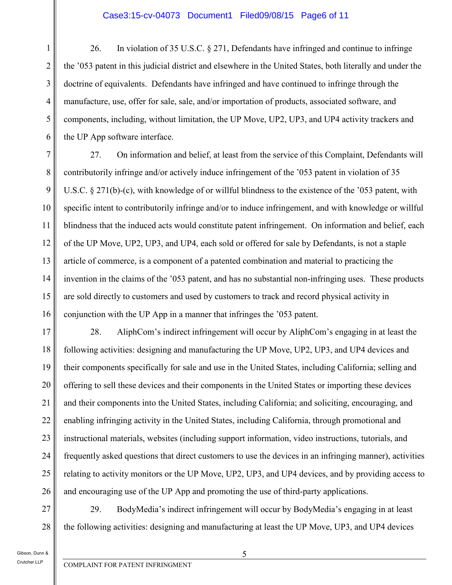26. In violation of 35 U.S.C. § 271, Defendants have infringed and continue to infringe the '053 patent in this judicial district and elsewhere in the United States, both literally and under the doctrine of equivalents. Defendants have infringed and have continued to infringe through the manufacture, use, offer for sale, sale, and/or importation of products, associated software, and components, including, without limitation, the UP Move, UP2, UP3, and UP4 activity trackers and the UP App software interface.

7 8 9 10 11 12 13 14 15 16 27. On information and belief, at least from the service of this Complaint, Defendants will contributorily infringe and/or actively induce infringement of the '053 patent in violation of 35 U.S.C. § 271(b)-(c), with knowledge of or willful blindness to the existence of the '053 patent, with specific intent to contributorily infringe and/or to induce infringement, and with knowledge or willful blindness that the induced acts would constitute patent infringement. On information and belief, each of the UP Move, UP2, UP3, and UP4, each sold or offered for sale by Defendants, is not a staple article of commerce, is a component of a patented combination and material to practicing the invention in the claims of the '053 patent, and has no substantial non-infringing uses. These products are sold directly to customers and used by customers to track and record physical activity in conjunction with the UP App in a manner that infringes the '053 patent.

17 18 19 20 21 22 23 24 25 26 28. AliphCom's indirect infringement will occur by AliphCom's engaging in at least the following activities: designing and manufacturing the UP Move, UP2, UP3, and UP4 devices and their components specifically for sale and use in the United States, including California; selling and offering to sell these devices and their components in the United States or importing these devices and their components into the United States, including California; and soliciting, encouraging, and enabling infringing activity in the United States, including California, through promotional and instructional materials, websites (including support information, video instructions, tutorials, and frequently asked questions that direct customers to use the devices in an infringing manner), activities relating to activity monitors or the UP Move, UP2, UP3, and UP4 devices, and by providing access to and encouraging use of the UP App and promoting the use of third-party applications.

27 28 29. BodyMedia's indirect infringement will occur by BodyMedia's engaging in at least the following activities: designing and manufacturing at least the UP Move, UP3, and UP4 devices

Gibson, Dunn & Crutcher LLP

1

2

3

4

5

6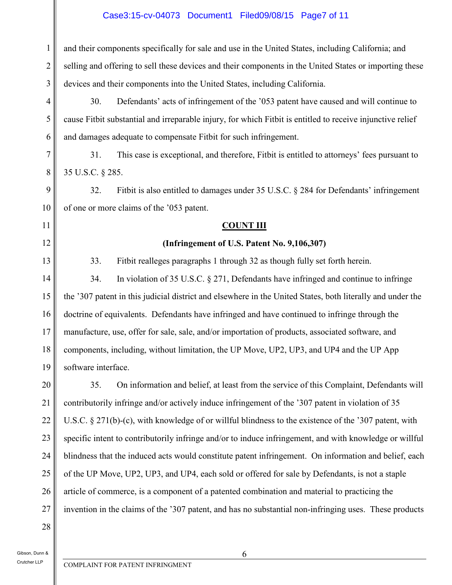# Case3:15-cv-04073 Document1 Filed09/08/15 Page7 of 11

| 1              | and their components specifically for sale and use in the United States, including California; and         |  |
|----------------|------------------------------------------------------------------------------------------------------------|--|
| $\overline{2}$ | selling and offering to sell these devices and their components in the United States or importing these    |  |
| 3              | devices and their components into the United States, including California.                                 |  |
| $\overline{4}$ | 30.<br>Defendants' acts of infringement of the '053 patent have caused and will continue to                |  |
| $\mathfrak{S}$ | cause Fitbit substantial and irreparable injury, for which Fitbit is entitled to receive injunctive relief |  |
| 6              | and damages adequate to compensate Fitbit for such infringement.                                           |  |
| 7              | This case is exceptional, and therefore, Fitbit is entitled to attorneys' fees pursuant to<br>31.          |  |
| 8              | 35 U.S.C. § 285.                                                                                           |  |
| 9              | Fitbit is also entitled to damages under 35 U.S.C. § 284 for Defendants' infringement<br>32.               |  |
| 10             | of one or more claims of the '053 patent.                                                                  |  |
| 11             | <b>COUNT III</b>                                                                                           |  |
| 12             | (Infringement of U.S. Patent No. 9,106,307)                                                                |  |
| 13             | 33.<br>Fitbit realleges paragraphs 1 through 32 as though fully set forth herein.                          |  |
| 14             | In violation of 35 U.S.C. $\S 271$ , Defendants have infringed and continue to infringe<br>34.             |  |
| 15             | the '307 patent in this judicial district and elsewhere in the United States, both literally and under the |  |
| 16             | doctrine of equivalents. Defendants have infringed and have continued to infringe through the              |  |
| 17             | manufacture, use, offer for sale, sale, and/or importation of products, associated software, and           |  |
| 18             | components, including, without limitation, the UP Move, UP2, UP3, and UP4 and the UP App                   |  |
| 19             | software interface.                                                                                        |  |
| 20             | 35.<br>On information and belief, at least from the service of this Complaint, Defendants will             |  |
| 21             | contributorily infringe and/or actively induce infringement of the '307 patent in violation of 35          |  |
| 22             | U.S.C. § 271(b)-(c), with knowledge of or willful blindness to the existence of the '307 patent, with      |  |
| 23             | specific intent to contributorily infringe and/or to induce infringement, and with knowledge or willful    |  |
| 24             | blindness that the induced acts would constitute patent infringement. On information and belief, each      |  |
| 25             | of the UP Move, UP2, UP3, and UP4, each sold or offered for sale by Defendants, is not a staple            |  |
| 26             | article of commerce, is a component of a patented combination and material to practicing the               |  |
| 27             | invention in the claims of the '307 patent, and has no substantial non-infringing uses. These products     |  |

28

Gibson, Dunn & Crutcher LLP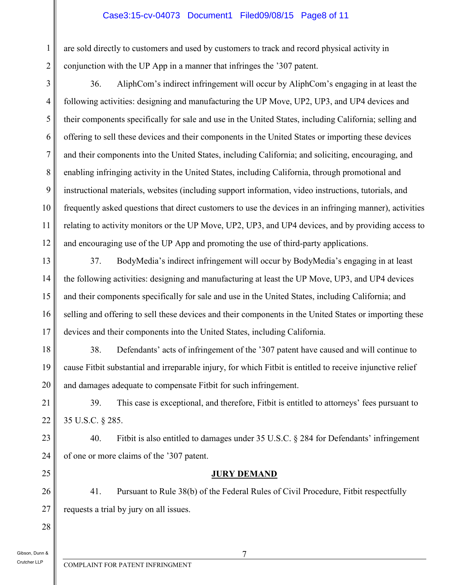## Case3:15-cv-04073 Document1 Filed09/08/15 Page8 of 11

are sold directly to customers and used by customers to track and record physical activity in conjunction with the UP App in a manner that infringes the '307 patent.

3 4 5 6 7 8 9 10 11 12 36. AliphCom's indirect infringement will occur by AliphCom's engaging in at least the following activities: designing and manufacturing the UP Move, UP2, UP3, and UP4 devices and their components specifically for sale and use in the United States, including California; selling and offering to sell these devices and their components in the United States or importing these devices and their components into the United States, including California; and soliciting, encouraging, and enabling infringing activity in the United States, including California, through promotional and instructional materials, websites (including support information, video instructions, tutorials, and frequently asked questions that direct customers to use the devices in an infringing manner), activities relating to activity monitors or the UP Move, UP2, UP3, and UP4 devices, and by providing access to and encouraging use of the UP App and promoting the use of third-party applications.

37. BodyMedia's indirect infringement will occur by BodyMedia's engaging in at least the following activities: designing and manufacturing at least the UP Move, UP3, and UP4 devices and their components specifically for sale and use in the United States, including California; and selling and offering to sell these devices and their components in the United States or importing these devices and their components into the United States, including California.

18 19 20 38. Defendants' acts of infringement of the '307 patent have caused and will continue to cause Fitbit substantial and irreparable injury, for which Fitbit is entitled to receive injunctive relief and damages adequate to compensate Fitbit for such infringement.

39. This case is exceptional, and therefore, Fitbit is entitled to attorneys' fees pursuant to 35 U.S.C. § 285.

40. Fitbit is also entitled to damages under 35 U.S.C. § 284 for Defendants' infringement of one or more claims of the '307 patent.

## **JURY DEMAND**

41. Pursuant to Rule 38(b) of the Federal Rules of Civil Procedure, Fitbit respectfully requests a trial by jury on all issues.

Gibson, Dunn &

Crutcher LLP

1

2

13

14

15

16

17

21

22

23

24

25

26

27

28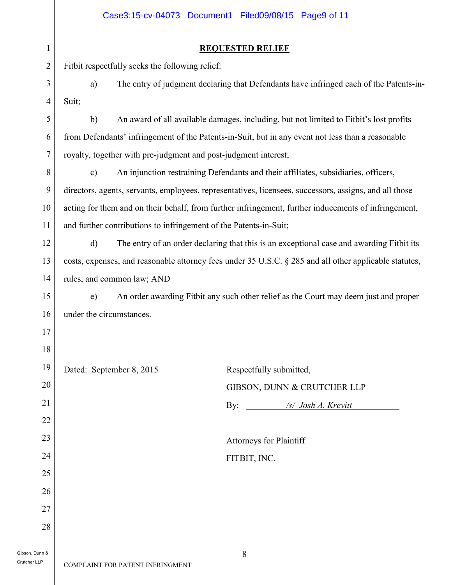|                | Case3:15-cv-04073 Document1 Filed09/08/15 Page9 of 11                                                    |  |  |
|----------------|----------------------------------------------------------------------------------------------------------|--|--|
| $\mathbf{1}$   | <b>REQUESTED RELIEF</b>                                                                                  |  |  |
| $\overline{c}$ | Fitbit respectfully seeks the following relief:                                                          |  |  |
| 3              | The entry of judgment declaring that Defendants have infringed each of the Patents-in-<br>a)             |  |  |
| $\overline{4}$ | Suit;                                                                                                    |  |  |
| 5              | An award of all available damages, including, but not limited to Fitbit's lost profits<br>b)             |  |  |
| 6              | from Defendants' infringement of the Patents-in-Suit, but in any event not less than a reasonable        |  |  |
| $\overline{7}$ | royalty, together with pre-judgment and post-judgment interest;                                          |  |  |
| 8              | An injunction restraining Defendants and their affiliates, subsidiaries, officers,<br>$\mathbf{c})$      |  |  |
| 9              | directors, agents, servants, employees, representatives, licensees, successors, assigns, and all those   |  |  |
| 10             | acting for them and on their behalf, from further infringement, further inducements of infringement,     |  |  |
| 11             | and further contributions to infringement of the Patents-in-Suit;                                        |  |  |
| 12             | $\mathbf{d}$<br>The entry of an order declaring that this is an exceptional case and awarding Fitbit its |  |  |
| 13             | costs, expenses, and reasonable attorney fees under 35 U.S.C. § 285 and all other applicable statutes,   |  |  |
| 14             | rules, and common law; AND                                                                               |  |  |
| 15             | An order awarding Fitbit any such other relief as the Court may deem just and proper<br>e)               |  |  |
| 16             | under the circumstances.                                                                                 |  |  |
| 17             |                                                                                                          |  |  |
| 18             |                                                                                                          |  |  |
| 19             | Dated: September 8, 2015<br>Respectfully submitted,                                                      |  |  |
| 20             | GIBSON, DUNN & CRUTCHER LLP                                                                              |  |  |
| 21             | By: /s/ Josh A. Krevitt                                                                                  |  |  |
| 22             |                                                                                                          |  |  |
| 23             | <b>Attorneys for Plaintiff</b>                                                                           |  |  |
| 24             | FITBIT, INC.                                                                                             |  |  |
| 25             |                                                                                                          |  |  |
| 26             |                                                                                                          |  |  |
| 27             |                                                                                                          |  |  |
| 28             |                                                                                                          |  |  |
| Junn &         | 8                                                                                                        |  |  |
| <b>LLP</b>     | COMPLAINT FOR PATENT INFRINGMENT                                                                         |  |  |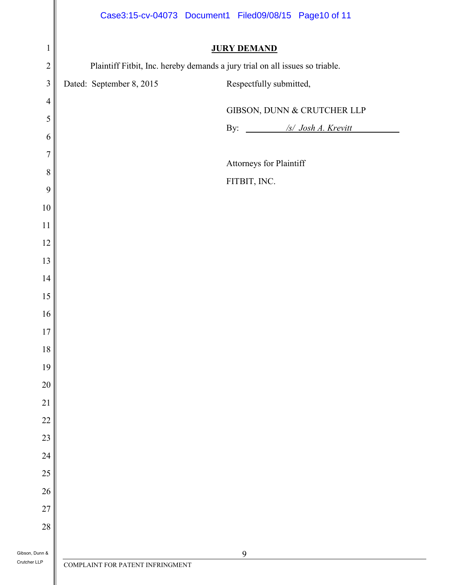|                                |                                                                              | Case3:15-cv-04073 Document1 Filed09/08/15 Page10 of 11 |  |
|--------------------------------|------------------------------------------------------------------------------|--------------------------------------------------------|--|
| $\mathbf 1$                    | <b>JURY DEMAND</b>                                                           |                                                        |  |
| $\overline{2}$                 | Plaintiff Fitbit, Inc. hereby demands a jury trial on all issues so triable. |                                                        |  |
| $\overline{\mathbf{3}}$        | Dated: September 8, 2015                                                     | Respectfully submitted,                                |  |
| $\overline{4}$                 |                                                                              | GIBSON, DUNN & CRUTCHER LLP                            |  |
| 5                              |                                                                              |                                                        |  |
| 6                              |                                                                              | By: /s/ Josh A. Krevitt                                |  |
| $\overline{7}$                 |                                                                              | Attorneys for Plaintiff                                |  |
| $\,8\,$                        |                                                                              |                                                        |  |
| 9                              |                                                                              | FITBIT, INC.                                           |  |
| $10\,$                         |                                                                              |                                                        |  |
| $11\,$                         |                                                                              |                                                        |  |
| $12\,$                         |                                                                              |                                                        |  |
| 13                             |                                                                              |                                                        |  |
| 14                             |                                                                              |                                                        |  |
| $15\,$                         |                                                                              |                                                        |  |
| $16\,$                         |                                                                              |                                                        |  |
| $17\,$                         |                                                                              |                                                        |  |
| $18\,$                         |                                                                              |                                                        |  |
| 19                             |                                                                              |                                                        |  |
| $20\,$                         |                                                                              |                                                        |  |
| $21\,$                         |                                                                              |                                                        |  |
| $22\,$                         |                                                                              |                                                        |  |
| 23                             |                                                                              |                                                        |  |
| 24                             |                                                                              |                                                        |  |
| $25\,$                         |                                                                              |                                                        |  |
| $26\,$                         |                                                                              |                                                        |  |
| 27                             |                                                                              |                                                        |  |
| $28\,$                         |                                                                              |                                                        |  |
| Gibson, Dunn &<br>Crutcher LLP |                                                                              | 9                                                      |  |
|                                | COMPLAINT FOR PATENT INFRINGMENT                                             |                                                        |  |